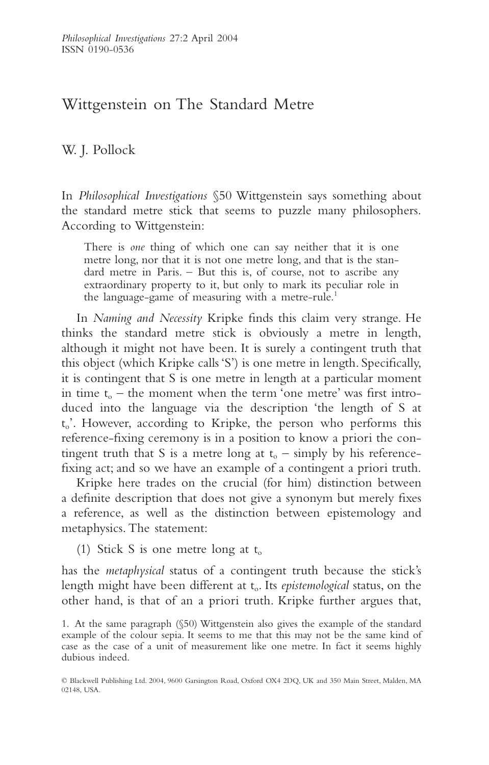## Wittgenstein on The Standard Metre

W. J. Pollock

In *Philosophical Investigations* §50 Wittgenstein says something about the standard metre stick that seems to puzzle many philosophers. According to Wittgenstein:

There is *one* thing of which one can say neither that it is one metre long, nor that it is not one metre long, and that is the standard metre in Paris. – But this is, of course, not to ascribe any extraordinary property to it, but only to mark its peculiar role in the language-game of measuring with a metre-rule.<sup>1</sup>

In *Naming and Necessity* Kripke finds this claim very strange. He thinks the standard metre stick is obviously a metre in length, although it might not have been. It is surely a contingent truth that this object (which Kripke calls 'S') is one metre in length. Specifically, it is contingent that S is one metre in length at a particular moment in time  $t_0$  – the moment when the term 'one metre' was first introduced into the language via the description 'the length of S at  $t_0$ . However, according to Kripke, the person who performs this reference-fixing ceremony is in a position to know a priori the contingent truth that S is a metre long at  $t_0$  – simply by his referencefixing act; and so we have an example of a contingent a priori truth.

Kripke here trades on the crucial (for him) distinction between a definite description that does not give a synonym but merely fixes a reference, as well as the distinction between epistemology and metaphysics. The statement:

(1) Stick S is one metre long at  $t_0$ 

has the *metaphysical* status of a contingent truth because the stick's length might have been different at t<sub>o</sub>. Its *epistemological* status, on the other hand, is that of an a priori truth. Kripke further argues that,

<sup>1.</sup> At the same paragraph (§50) Wittgenstein also gives the example of the standard example of the colour sepia. It seems to me that this may not be the same kind of case as the case of a unit of measurement like one metre. In fact it seems highly dubious indeed.

<sup>©</sup> Blackwell Publishing Ltd. 2004, 9600 Garsington Road, Oxford OX4 2DQ, UK and 350 Main Street, Malden, MA 02148, USA.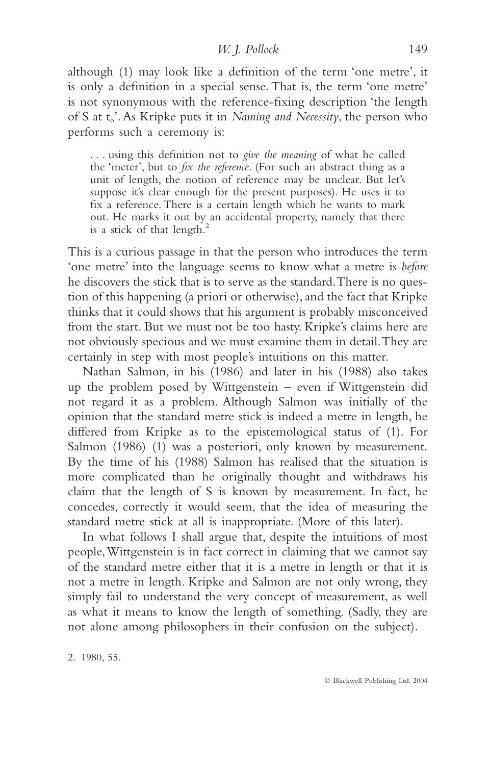although (1) may look like a definition of the term 'one metre', it is only a definition in a special sense. That is, the term 'one metre' is not synonymous with the reference-fixing description 'the length of S at t<sub>o</sub>'. As Kripke puts it in *Naming and Necessity*, the person who performs such a ceremony is:

... using this definition not to *give the meaning* of what he called the 'meter', but to *fix the reference*. (For such an abstract thing as a unit of length, the notion of reference may be unclear. But let's suppose it's clear enough for the present purposes). He uses it to fix a reference. There is a certain length which he wants to mark out. He marks it out by an accidental property, namely that there is a stick of that length. $^{2}$ 

This is a curious passage in that the person who introduces the term 'one metre' into the language seems to know what a metre is *before* he discovers the stick that is to serve as the standard.There is no question of this happening (a priori or otherwise), and the fact that Kripke thinks that it could shows that his argument is probably misconceived from the start. But we must not be too hasty. Kripke's claims here are not obviously specious and we must examine them in detail.They are certainly in step with most people's intuitions on this matter.

Nathan Salmon, in his (1986) and later in his (1988) also takes up the problem posed by Wittgenstein – even if Wittgenstein did not regard it as a problem. Although Salmon was initially of the opinion that the standard metre stick is indeed a metre in length, he differed from Kripke as to the epistemological status of (1). For Salmon (1986) (1) was a posteriori, only known by measurement. By the time of his (1988) Salmon has realised that the situation is more complicated than he originally thought and withdraws his claim that the length of S is known by measurement. In fact, he concedes, correctly it would seem, that the idea of measuring the standard metre stick at all is inappropriate. (More of this later).

In what follows I shall argue that, despite the intuitions of most people,Wittgenstein is in fact correct in claiming that we cannot say of the standard metre either that it is a metre in length or that it is not a metre in length. Kripke and Salmon are not only wrong, they simply fail to understand the very concept of measurement, as well as what it means to know the length of something. (Sadly, they are not alone among philosophers in their confusion on the subject).

2. 1980, 55.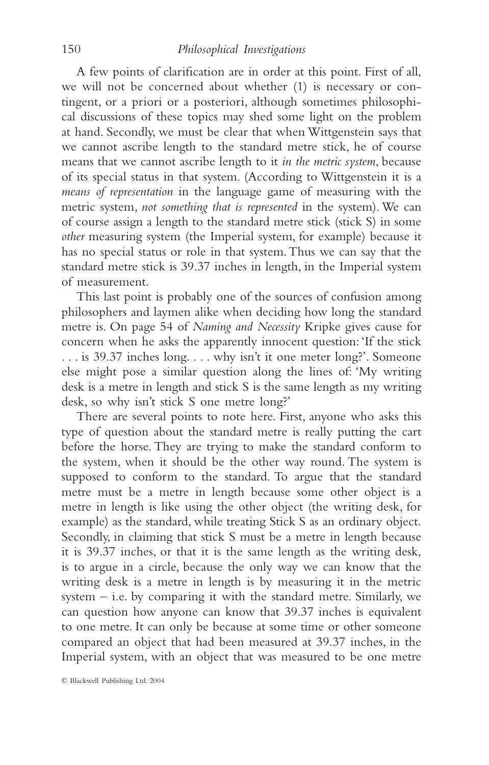A few points of clarification are in order at this point. First of all, we will not be concerned about whether (1) is necessary or contingent, or a priori or a posteriori, although sometimes philosophical discussions of these topics may shed some light on the problem at hand. Secondly, we must be clear that when Wittgenstein says that we cannot ascribe length to the standard metre stick, he of course means that we cannot ascribe length to it *in the metric system*, because of its special status in that system. (According to Wittgenstein it is a *means of representation* in the language game of measuring with the metric system*, not something that is represented* in the system). We can of course assign a length to the standard metre stick (stick S) in some *other* measuring system (the Imperial system, for example) because it has no special status or role in that system.Thus we can say that the standard metre stick is 39.37 inches in length, in the Imperial system of measurement.

This last point is probably one of the sources of confusion among philosophers and laymen alike when deciding how long the standard metre is. On page 54 of *Naming and Necessity* Kripke gives cause for concern when he asks the apparently innocent question: 'If the stick ... is 39.37 inches long. . . . why isn't it one meter long?'. Someone else might pose a similar question along the lines of: 'My writing desk is a metre in length and stick S is the same length as my writing desk, so why isn't stick S one metre long?'

There are several points to note here. First, anyone who asks this type of question about the standard metre is really putting the cart before the horse. They are trying to make the standard conform to the system, when it should be the other way round. The system is supposed to conform to the standard. To argue that the standard metre must be a metre in length because some other object is a metre in length is like using the other object (the writing desk, for example) as the standard, while treating Stick S as an ordinary object. Secondly, in claiming that stick S must be a metre in length because it is 39.37 inches, or that it is the same length as the writing desk, is to argue in a circle, because the only way we can know that the writing desk is a metre in length is by measuring it in the metric system – i.e. by comparing it with the standard metre. Similarly, we can question how anyone can know that 39.37 inches is equivalent to one metre. It can only be because at some time or other someone compared an object that had been measured at 39.37 inches, in the Imperial system, with an object that was measured to be one metre

<sup>©</sup> Blackwell Publishing Ltd. 2004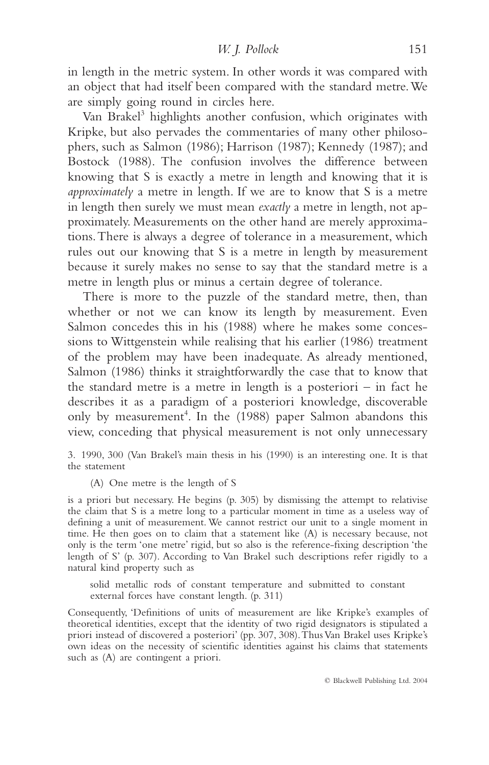in length in the metric system. In other words it was compared with an object that had itself been compared with the standard metre.We are simply going round in circles here.

Van Brakel<sup>3</sup> highlights another confusion, which originates with Kripke, but also pervades the commentaries of many other philosophers, such as Salmon (1986); Harrison (1987); Kennedy (1987); and Bostock (1988). The confusion involves the difference between knowing that S is exactly a metre in length and knowing that it is *approximately* a metre in length. If we are to know that S is a metre in length then surely we must mean *exactly* a metre in length, not approximately. Measurements on the other hand are merely approximations.There is always a degree of tolerance in a measurement, which rules out our knowing that S is a metre in length by measurement because it surely makes no sense to say that the standard metre is a metre in length plus or minus a certain degree of tolerance.

There is more to the puzzle of the standard metre, then, than whether or not we can know its length by measurement. Even Salmon concedes this in his (1988) where he makes some concessions to Wittgenstein while realising that his earlier (1986) treatment of the problem may have been inadequate. As already mentioned, Salmon (1986) thinks it straightforwardly the case that to know that the standard metre is a metre in length is a posteriori – in fact he describes it as a paradigm of a posteriori knowledge, discoverable only by measurement<sup>4</sup>. In the (1988) paper Salmon abandons this view, conceding that physical measurement is not only unnecessary

3. 1990, 300 (Van Brakel's main thesis in his (1990) is an interesting one. It is that the statement

(A) One metre is the length of S

is a priori but necessary. He begins (p. 305) by dismissing the attempt to relativise the claim that S is a metre long to a particular moment in time as a useless way of defining a unit of measurement. We cannot restrict our unit to a single moment in time. He then goes on to claim that a statement like (A) is necessary because, not only is the term 'one metre' rigid, but so also is the reference-fixing description 'the length of S' (p. 307). According to Van Brakel such descriptions refer rigidly to a natural kind property such as

solid metallic rods of constant temperature and submitted to constant external forces have constant length. (p. 311)

Consequently, 'Definitions of units of measurement are like Kripke's examples of theoretical identities, except that the identity of two rigid designators is stipulated a priori instead of discovered a posteriori' (pp. 307, 308).Thus Van Brakel uses Kripke's own ideas on the necessity of scientific identities against his claims that statements such as (A) are contingent a priori.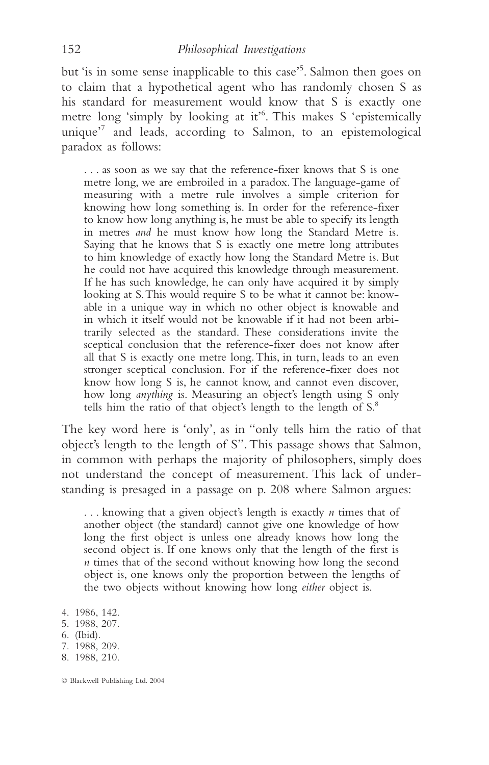but 'is in some sense inapplicable to this case'5 . Salmon then goes on to claim that a hypothetical agent who has randomly chosen S as his standard for measurement would know that S is exactly one metre long 'simply by looking at it'<sup>6</sup> . This makes S 'epistemically unique<sup>7</sup> and leads, according to Salmon, to an epistemological paradox as follows:

... as soon as we say that the reference-fixer knows that S is one metre long, we are embroiled in a paradox.The language-game of measuring with a metre rule involves a simple criterion for knowing how long something is. In order for the reference-fixer to know how long anything is, he must be able to specify its length in metres *and* he must know how long the Standard Metre is. Saying that he knows that S is exactly one metre long attributes to him knowledge of exactly how long the Standard Metre is. But he could not have acquired this knowledge through measurement. If he has such knowledge, he can only have acquired it by simply looking at S.This would require S to be what it cannot be: knowable in a unique way in which no other object is knowable and in which it itself would not be knowable if it had not been arbitrarily selected as the standard. These considerations invite the sceptical conclusion that the reference-fixer does not know after all that S is exactly one metre long.This, in turn, leads to an even stronger sceptical conclusion. For if the reference-fixer does not know how long S is, he cannot know, and cannot even discover, how long *anything* is. Measuring an object's length using S only tells him the ratio of that object's length to the length of  $S^8$ .

The key word here is 'only', as in "only tells him the ratio of that object's length to the length of S". This passage shows that Salmon, in common with perhaps the majority of philosophers, simply does not understand the concept of measurement. This lack of understanding is presaged in a passage on p. 208 where Salmon argues:

... knowing that a given object's length is exactly *n* times that of another object (the standard) cannot give one knowledge of how long the first object is unless one already knows how long the second object is. If one knows only that the length of the first is *n* times that of the second without knowing how long the second object is, one knows only the proportion between the lengths of the two objects without knowing how long *either* object is.

© Blackwell Publishing Ltd. 2004

<sup>4. 1986, 142.</sup>

<sup>5. 1988, 207.</sup>

<sup>6. (</sup>Ibid).

<sup>7. 1988, 209.</sup>

<sup>8. 1988, 210.</sup>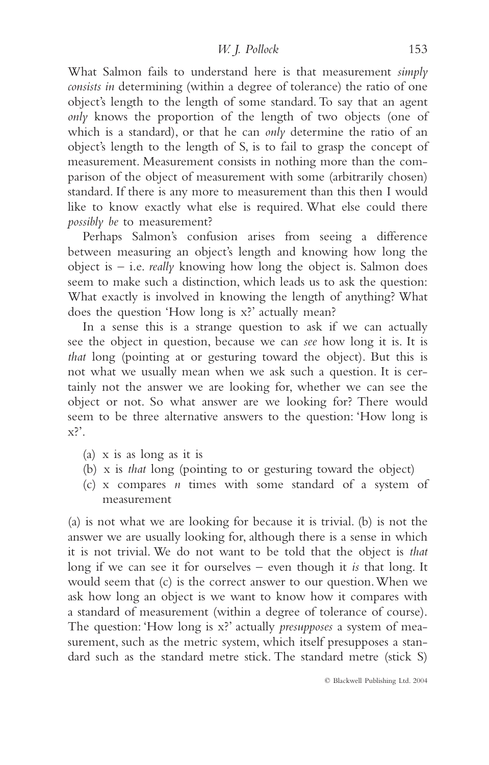What Salmon fails to understand here is that measurement *simply consists in* determining (within a degree of tolerance) the ratio of one object's length to the length of some standard. To say that an agent *only* knows the proportion of the length of two objects (one of which is a standard), or that he can *only* determine the ratio of an object's length to the length of S, is to fail to grasp the concept of measurement. Measurement consists in nothing more than the comparison of the object of measurement with some (arbitrarily chosen) standard. If there is any more to measurement than this then I would like to know exactly what else is required. What else could there *possibly be* to measurement?

Perhaps Salmon's confusion arises from seeing a difference between measuring an object's length and knowing how long the object is – i.e. *really* knowing how long the object is. Salmon does seem to make such a distinction, which leads us to ask the question: What exactly is involved in knowing the length of anything? What does the question 'How long is x?' actually mean?

In a sense this is a strange question to ask if we can actually see the object in question, because we can *see* how long it is. It is *that* long (pointing at or gesturing toward the object). But this is not what we usually mean when we ask such a question. It is certainly not the answer we are looking for, whether we can see the object or not. So what answer are we looking for? There would seem to be three alternative answers to the question: 'How long is  $x^2$ 

- (a) x is as long as it is
- (b) x is *that* long (pointing to or gesturing toward the object)
- (c) x compares *n* times with some standard of a system of measurement

(a) is not what we are looking for because it is trivial. (b) is not the answer we are usually looking for, although there is a sense in which it is not trivial. We do not want to be told that the object is *that* long if we can see it for ourselves – even though it *is* that long. It would seem that (c) is the correct answer to our question.When we ask how long an object is we want to know how it compares with a standard of measurement (within a degree of tolerance of course). The question: 'How long is x?' actually *presupposes* a system of measurement, such as the metric system, which itself presupposes a standard such as the standard metre stick. The standard metre (stick S)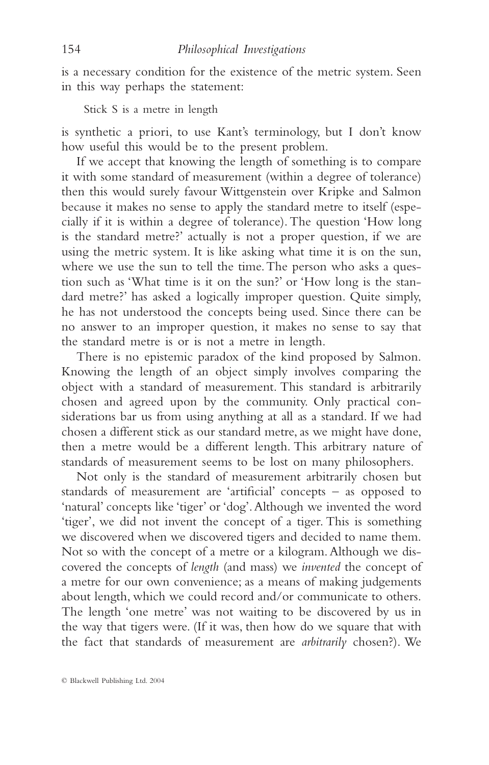is a necessary condition for the existence of the metric system. Seen in this way perhaps the statement:

Stick S is a metre in length

is synthetic a priori, to use Kant's terminology, but I don't know how useful this would be to the present problem.

If we accept that knowing the length of something is to compare it with some standard of measurement (within a degree of tolerance) then this would surely favour Wittgenstein over Kripke and Salmon because it makes no sense to apply the standard metre to itself (especially if it is within a degree of tolerance). The question 'How long is the standard metre?' actually is not a proper question, if we are using the metric system. It is like asking what time it is on the sun, where we use the sun to tell the time.The person who asks a question such as 'What time is it on the sun?' or 'How long is the standard metre?' has asked a logically improper question. Quite simply, he has not understood the concepts being used. Since there can be no answer to an improper question, it makes no sense to say that the standard metre is or is not a metre in length.

There is no epistemic paradox of the kind proposed by Salmon. Knowing the length of an object simply involves comparing the object with a standard of measurement. This standard is arbitrarily chosen and agreed upon by the community. Only practical considerations bar us from using anything at all as a standard. If we had chosen a different stick as our standard metre, as we might have done, then a metre would be a different length. This arbitrary nature of standards of measurement seems to be lost on many philosophers.

Not only is the standard of measurement arbitrarily chosen but standards of measurement are 'artificial' concepts – as opposed to 'natural' concepts like 'tiger' or 'dog'.Although we invented the word 'tiger', we did not invent the concept of a tiger. This is something we discovered when we discovered tigers and decided to name them. Not so with the concept of a metre or a kilogram.Although we discovered the concepts of *length* (and mass) we *invented* the concept of a metre for our own convenience; as a means of making judgements about length, which we could record and/or communicate to others. The length 'one metre' was not waiting to be discovered by us in the way that tigers were. (If it was, then how do we square that with the fact that standards of measurement are *arbitrarily* chosen?). We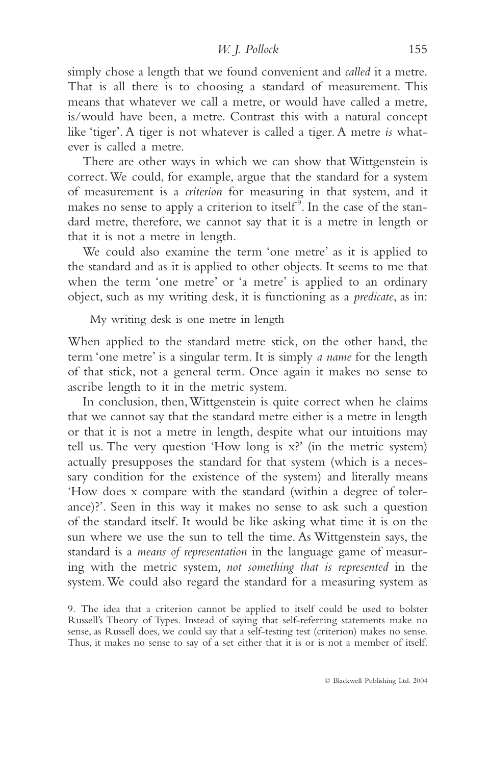## *W. J. Pollock* 155

simply chose a length that we found convenient and *called* it a metre. That is all there is to choosing a standard of measurement. This means that whatever we call a metre, or would have called a metre, is/would have been, a metre. Contrast this with a natural concept like 'tiger'. A tiger is not whatever is called a tiger. A metre *is* whatever is called a metre.

There are other ways in which we can show that Wittgenstein is correct. We could, for example, argue that the standard for a system of measurement is a *criterion* for measuring in that system, and it makes no sense to apply a criterion to itself<sup>9</sup>. In the case of the standard metre, therefore, we cannot say that it is a metre in length or that it is not a metre in length.

We could also examine the term 'one metre' as it is applied to the standard and as it is applied to other objects. It seems to me that when the term 'one metre' or 'a metre' is applied to an ordinary object, such as my writing desk, it is functioning as a *predicate*, as in:

My writing desk is one metre in length

When applied to the standard metre stick, on the other hand, the term 'one metre' is a singular term. It is simply *a name* for the length of that stick, not a general term. Once again it makes no sense to ascribe length to it in the metric system.

In conclusion, then,Wittgenstein is quite correct when he claims that we cannot say that the standard metre either is a metre in length or that it is not a metre in length, despite what our intuitions may tell us. The very question 'How long is x?' (in the metric system) actually presupposes the standard for that system (which is a necessary condition for the existence of the system) and literally means 'How does x compare with the standard (within a degree of tolerance)?'. Seen in this way it makes no sense to ask such a question of the standard itself. It would be like asking what time it is on the sun where we use the sun to tell the time. As Wittgenstein says, the standard is a *means of representation* in the language game of measuring with the metric system*, not something that is represented* in the system. We could also regard the standard for a measuring system as

9. The idea that a criterion cannot be applied to itself could be used to bolster Russell's Theory of Types. Instead of saying that self-referring statements make no sense, as Russell does, we could say that a self-testing test (criterion) makes no sense. Thus, it makes no sense to say of a set either that it is or is not a member of itself.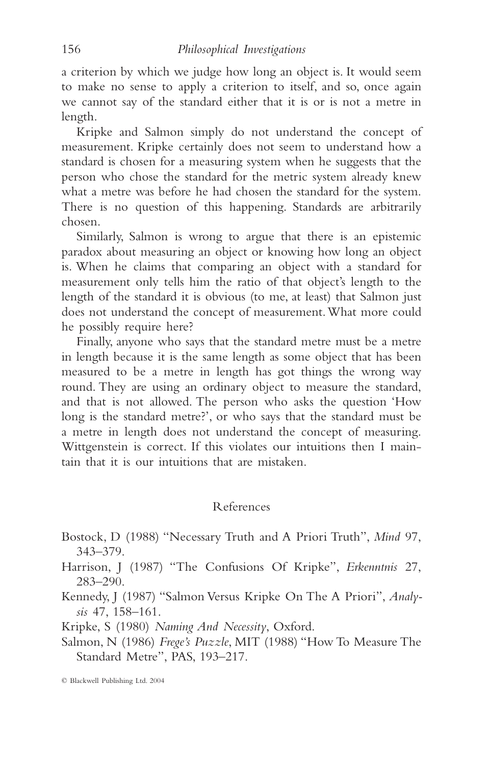a criterion by which we judge how long an object is. It would seem to make no sense to apply a criterion to itself, and so, once again we cannot say of the standard either that it is or is not a metre in length.

Kripke and Salmon simply do not understand the concept of measurement. Kripke certainly does not seem to understand how a standard is chosen for a measuring system when he suggests that the person who chose the standard for the metric system already knew what a metre was before he had chosen the standard for the system. There is no question of this happening. Standards are arbitrarily chosen.

Similarly, Salmon is wrong to argue that there is an epistemic paradox about measuring an object or knowing how long an object is. When he claims that comparing an object with a standard for measurement only tells him the ratio of that object's length to the length of the standard it is obvious (to me, at least) that Salmon just does not understand the concept of measurement.What more could he possibly require here?

Finally, anyone who says that the standard metre must be a metre in length because it is the same length as some object that has been measured to be a metre in length has got things the wrong way round. They are using an ordinary object to measure the standard, and that is not allowed. The person who asks the question 'How long is the standard metre?', or who says that the standard must be a metre in length does not understand the concept of measuring. Wittgenstein is correct. If this violates our intuitions then I maintain that it is our intuitions that are mistaken.

## References

- Bostock, D (1988) "Necessary Truth and A Priori Truth", *Mind* 97, 343–379.
- Harrison, J (1987) "The Confusions Of Kripke", *Erkenntnis* 27, 283–290.
- Kennedy, J (1987) "Salmon Versus Kripke On The A Priori", *Analysis* 47, 158–161.
- Kripke, S (1980) *Naming And Necessity*, Oxford.
- Salmon, N (1986) *Frege's Puzzle*, MIT (1988) "How To Measure The Standard Metre", PAS, 193–217.

© Blackwell Publishing Ltd. 2004